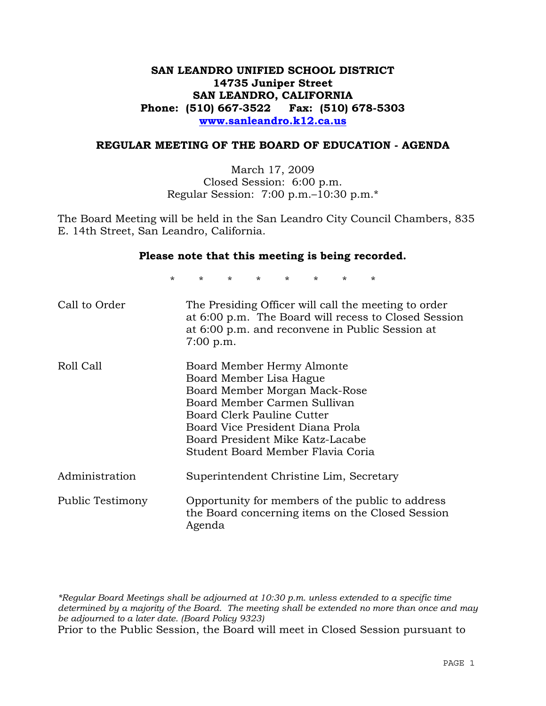# **SAN LEANDRO UNIFIED SCHOOL DISTRICT 14735 Juniper Street SAN LEANDRO, CALIFORNIA Phone: (510) 667-3522 Fax: (510) 678-5303 www.sanleandro.k12.ca.us**

### **REGULAR MEETING OF THE BOARD OF EDUCATION - AGENDA**

March 17, 2009 Closed Session: 6:00 p.m. Regular Session: 7:00 p.m.–10:30 p.m.\*

The Board Meeting will be held in the San Leandro City Council Chambers, 835 E. 14th Street, San Leandro, California.

#### **Please note that this meeting is being recorded.**

\* \* \* \* \* \* \* \*

| Call to Order    | The Presiding Officer will call the meeting to order<br>at 6:00 p.m. The Board will recess to Closed Session<br>at 6:00 p.m. and reconvene in Public Session at<br>$7:00$ p.m.                                                                                    |
|------------------|-------------------------------------------------------------------------------------------------------------------------------------------------------------------------------------------------------------------------------------------------------------------|
| Roll Call        | Board Member Hermy Almonte<br>Board Member Lisa Hague<br>Board Member Morgan Mack-Rose<br>Board Member Carmen Sullivan<br>Board Clerk Pauline Cutter<br>Board Vice President Diana Prola<br>Board President Mike Katz-Lacabe<br>Student Board Member Flavia Coria |
| Administration   | Superintendent Christine Lim, Secretary                                                                                                                                                                                                                           |
| Public Testimony | Opportunity for members of the public to address<br>the Board concerning items on the Closed Session<br>Agenda                                                                                                                                                    |

*\*Regular Board Meetings shall be adjourned at 10:30 p.m. unless extended to a specific time determined by a majority of the Board. The meeting shall be extended no more than once and may be adjourned to a later date. (Board Policy 9323)*  Prior to the Public Session, the Board will meet in Closed Session pursuant to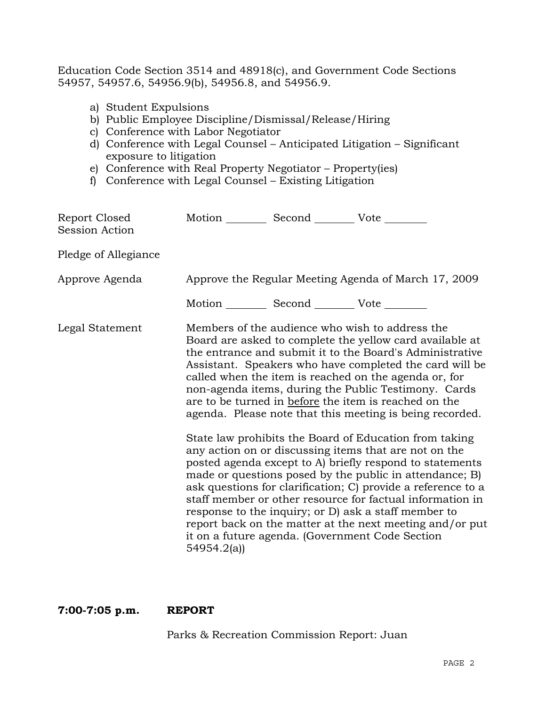Education Code Section 3514 and 48918(c), and Government Code Sections 54957, 54957.6, 54956.9(b), 54956.8, and 54956.9.

- a) Student Expulsions
- b) Public Employee Discipline/Dismissal/Release/Hiring
- c) Conference with Labor Negotiator
- d) Conference with Legal Counsel Anticipated Litigation Significant exposure to litigation
- e) Conference with Real Property Negotiator Property(ies)
- f) Conference with Legal Counsel Existing Litigation

| Report Closed<br><b>Session Action</b> | Motion __________ Second __________ Vote ________    |  |                                                                                                                                                                                                                                                                                                                                                                                                                                                                                                                                                                                                                                                                                                                                                                                                                                                                                                                                                                                                                        |
|----------------------------------------|------------------------------------------------------|--|------------------------------------------------------------------------------------------------------------------------------------------------------------------------------------------------------------------------------------------------------------------------------------------------------------------------------------------------------------------------------------------------------------------------------------------------------------------------------------------------------------------------------------------------------------------------------------------------------------------------------------------------------------------------------------------------------------------------------------------------------------------------------------------------------------------------------------------------------------------------------------------------------------------------------------------------------------------------------------------------------------------------|
| Pledge of Allegiance                   |                                                      |  |                                                                                                                                                                                                                                                                                                                                                                                                                                                                                                                                                                                                                                                                                                                                                                                                                                                                                                                                                                                                                        |
| Approve Agenda                         | Approve the Regular Meeting Agenda of March 17, 2009 |  |                                                                                                                                                                                                                                                                                                                                                                                                                                                                                                                                                                                                                                                                                                                                                                                                                                                                                                                                                                                                                        |
|                                        | Motion __________ Second ___________ Vote _________  |  |                                                                                                                                                                                                                                                                                                                                                                                                                                                                                                                                                                                                                                                                                                                                                                                                                                                                                                                                                                                                                        |
| Legal Statement                        | 54954.2(a)                                           |  | Members of the audience who wish to address the<br>Board are asked to complete the yellow card available at<br>the entrance and submit it to the Board's Administrative<br>Assistant. Speakers who have completed the card will be<br>called when the item is reached on the agenda or, for<br>non-agenda items, during the Public Testimony. Cards<br>are to be turned in before the item is reached on the<br>agenda. Please note that this meeting is being recorded.<br>State law prohibits the Board of Education from taking<br>any action on or discussing items that are not on the<br>posted agenda except to A) briefly respond to statements<br>made or questions posed by the public in attendance; B)<br>ask questions for clarification; C) provide a reference to a<br>staff member or other resource for factual information in<br>response to the inquiry; or D) ask a staff member to<br>report back on the matter at the next meeting and/or put<br>it on a future agenda. (Government Code Section |

### **7:00-7:05 p.m. REPORT**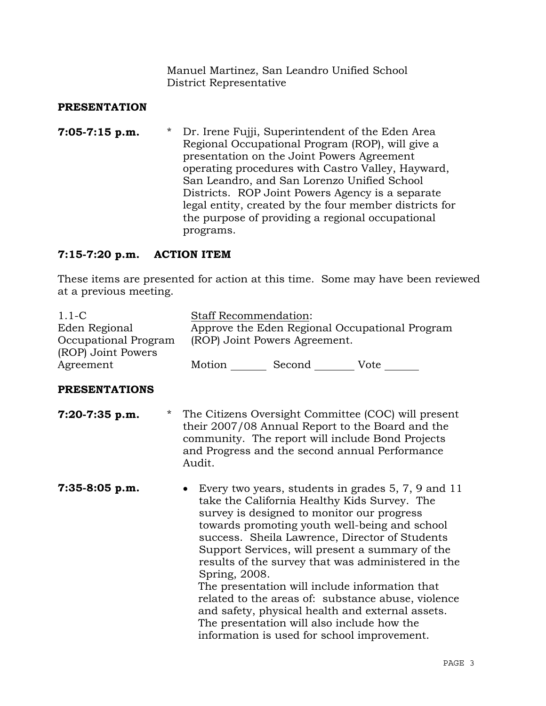Manuel Martinez, San Leandro Unified School District Representative

### **PRESENTATION**

**7:05-7:15 p.m.** \* Dr. Irene Fujji, Superintendent of the Eden Area Regional Occupational Program (ROP), will give a presentation on the Joint Powers Agreement operating procedures with Castro Valley, Hayward, San Leandro, and San Lorenzo Unified School Districts. ROP Joint Powers Agency is a separate legal entity, created by the four member districts for the purpose of providing a regional occupational programs.

### **7:15-7:20 p.m. ACTION ITEM**

These items are presented for action at this time. Some may have been reviewed at a previous meeting.

| $1.1-C$                                    | <b>Staff Recommendation:</b> |                               |                                                |
|--------------------------------------------|------------------------------|-------------------------------|------------------------------------------------|
| Eden Regional                              |                              |                               | Approve the Eden Regional Occupational Program |
| Occupational Program<br>(ROP) Joint Powers |                              | (ROP) Joint Powers Agreement. |                                                |
| Agreement                                  | Motion                       | Second                        | Vote                                           |
| <b>PRESENTATIONS</b>                       |                              |                               |                                                |

- **7:20-7:35 p.m.** \* The Citizens Oversight Committee (COC) will present their 2007/08 Annual Report to the Board and the community. The report will include Bond Projects and Progress and the second annual Performance Audit.
- **7:35-8:05 p.m.**  Every two years, students in grades 5, 7, 9 and 11 take the California Healthy Kids Survey. The survey is designed to monitor our progress towards promoting youth well-being and school success. Sheila Lawrence, Director of Students Support Services, will present a summary of the results of the survey that was administered in the Spring, 2008. The presentation will include information that related to the areas of: substance abuse, violence and safety, physical health and external assets. The presentation will also include how the information is used for school improvement.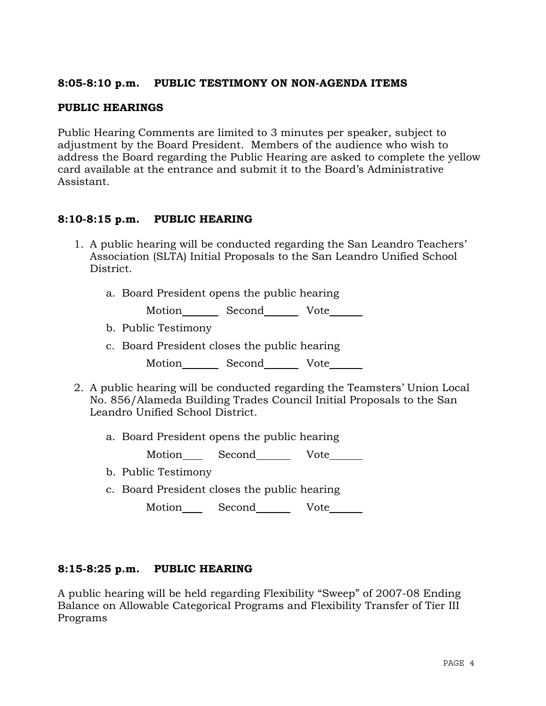# **8:05-8:10 p.m. PUBLIC TESTIMONY ON NON-AGENDA ITEMS**

## **PUBLIC HEARINGS**

Public Hearing Comments are limited to 3 minutes per speaker, subject to adjustment by the Board President. Members of the audience who wish to address the Board regarding the Public Hearing are asked to complete the yellow card available at the entrance and submit it to the Board's Administrative Assistant.

# **8:10-8:15 p.m. PUBLIC HEARING**

- 1. A public hearing will be conducted regarding the San Leandro Teachers' Association (SLTA) Initial Proposals to the San Leandro Unified School District.
	- a. Board President opens the public hearing

Motion Second Vote

- b. Public Testimony
- c. Board President closes the public hearing

Motion Second Vote

- 2. A public hearing will be conducted regarding the Teamsters' Union Local No. 856/Alameda Building Trades Council Initial Proposals to the San Leandro Unified School District.
	- a. Board President opens the public hearing

Motion Second Vote

- b. Public Testimony
- c. Board President closes the public hearing

Motion\_\_\_\_\_\_ Second\_\_\_\_\_\_\_\_\_\_ Vote\_\_\_\_\_\_\_

# **8:15-8:25 p.m. PUBLIC HEARING**

A public hearing will be held regarding Flexibility "Sweep" of 2007-08 Ending Balance on Allowable Categorical Programs and Flexibility Transfer of Tier III Programs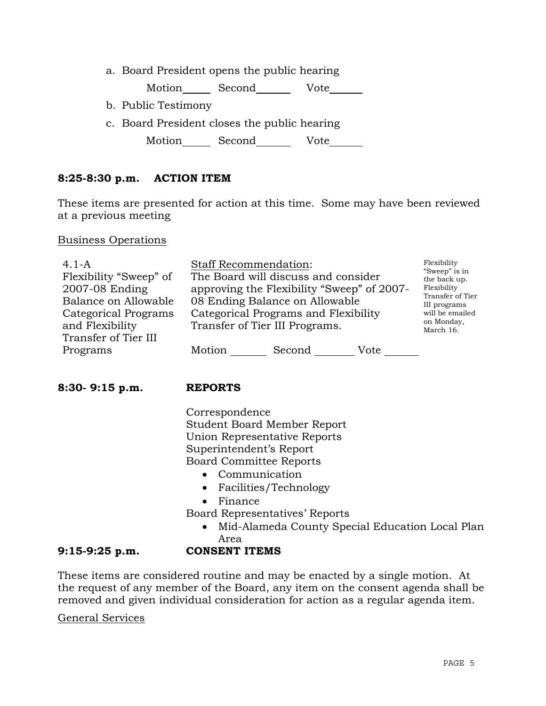a. Board President opens the public hearing

Motion Second Vote

- b. Public Testimony
- c. Board President closes the public hearing

Motion Second Vote

# **8:25-8:30 p.m. ACTION ITEM**

These items are presented for action at this time. Some may have been reviewed at a previous meeting

Business Operations

| $4.1 - A$              | <b>Staff Recommendation:</b>                              | Flexibility                     |
|------------------------|-----------------------------------------------------------|---------------------------------|
| Flexibility "Sweep" of | The Board will discuss and consider                       | "Sweep" is in<br>the back up.   |
| 2007-08 Ending         | approving the Flexibility "Sweep" of 2007-                | Flexibility<br>Transfer of Tier |
| Balance on Allowable   | 08 Ending Balance on Allowable                            | III programs                    |
| Categorical Programs   | Categorical Programs and Flexibility                      | will be emailed                 |
| and Flexibility        | on Monday,<br>Transfer of Tier III Programs.<br>March 16. |                                 |
| Transfer of Tier III   |                                                           |                                 |
| Programs               | Second<br>Motion<br>Vote                                  |                                 |

**8:30- 9:15 p.m. REPORTS**

 Correspondence Student Board Member Report Union Representative Reports Superintendent's Report Board Committee Reports

- Communication
- Facilities/Technology
- Finance
- Board Representatives' Reports
	- Mid-Alameda County Special Education Local Plan Area

# **9:15-9:25 p.m. CONSENT ITEMS**

These items are considered routine and may be enacted by a single motion. At the request of any member of the Board, any item on the consent agenda shall be removed and given individual consideration for action as a regular agenda item.

## General Services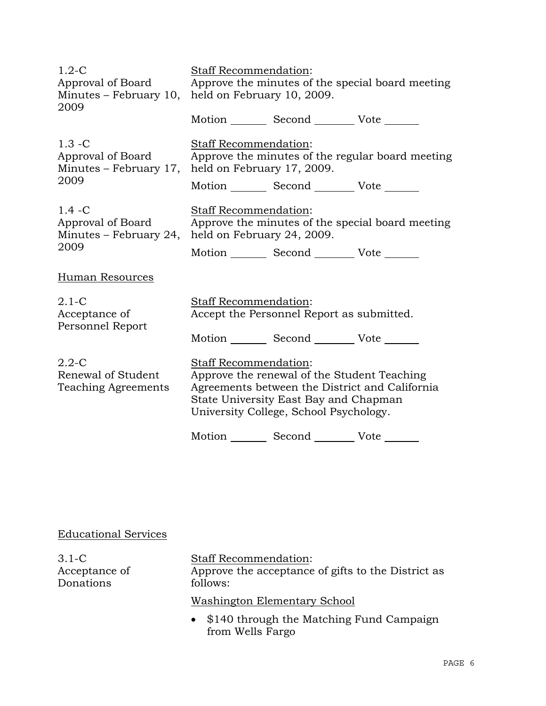| $1.2-C$<br>Approval of Board<br>2009                             | Staff Recommendation:<br>Approve the minutes of the special board meeting<br>Minutes - February 10, held on February 10, 2009.       |                                                                                                                                                                                    |                                                |  |
|------------------------------------------------------------------|--------------------------------------------------------------------------------------------------------------------------------------|------------------------------------------------------------------------------------------------------------------------------------------------------------------------------------|------------------------------------------------|--|
|                                                                  |                                                                                                                                      | Motion _________ Second ___________ Vote _______                                                                                                                                   |                                                |  |
| $1.3 - C$<br>Approval of Board<br>Minutes – February 17,         | Staff Recommendation:<br>Approve the minutes of the regular board meeting<br>held on February 17, 2009.                              |                                                                                                                                                                                    |                                                |  |
| 2009                                                             |                                                                                                                                      | Motion _________ Second __________ Vote _______                                                                                                                                    |                                                |  |
| $1.4 - C$<br>Approval of Board<br>Minutes – February 24,<br>2009 | Staff Recommendation:<br>Approve the minutes of the special board meeting<br>held on February 24, 2009.<br>Motion Second Vote ______ |                                                                                                                                                                                    |                                                |  |
|                                                                  |                                                                                                                                      |                                                                                                                                                                                    |                                                |  |
| <b>Human Resources</b>                                           |                                                                                                                                      |                                                                                                                                                                                    |                                                |  |
| $2.1-C$<br>Acceptance of<br>Personnel Report                     | Staff Recommendation:                                                                                                                | Accept the Personnel Report as submitted.                                                                                                                                          |                                                |  |
|                                                                  |                                                                                                                                      | Motion _________ Second __________ Vote _______                                                                                                                                    |                                                |  |
| $2.2 - C$<br>Renewal of Student<br>Teaching Agreements           | Staff Recommendation:                                                                                                                | Approve the renewal of the Student Teaching<br>State University East Bay and Chapman<br>University College, School Psychology.<br>Motion _________ Second ___________ Vote _______ | Agreements between the District and California |  |
|                                                                  |                                                                                                                                      |                                                                                                                                                                                    |                                                |  |

# Educational Services

| $3.1 - C$     | <b>Staff Recommendation:</b>                        |
|---------------|-----------------------------------------------------|
| Acceptance of | Approve the acceptance of gifts to the District as  |
| Donations     | follows:                                            |
|               | Washington Elementary School                        |
|               | $\bullet$ $$140$ through the Matching Fund Campaign |

• \$140 through the Matching Fund Campaign from Wells Fargo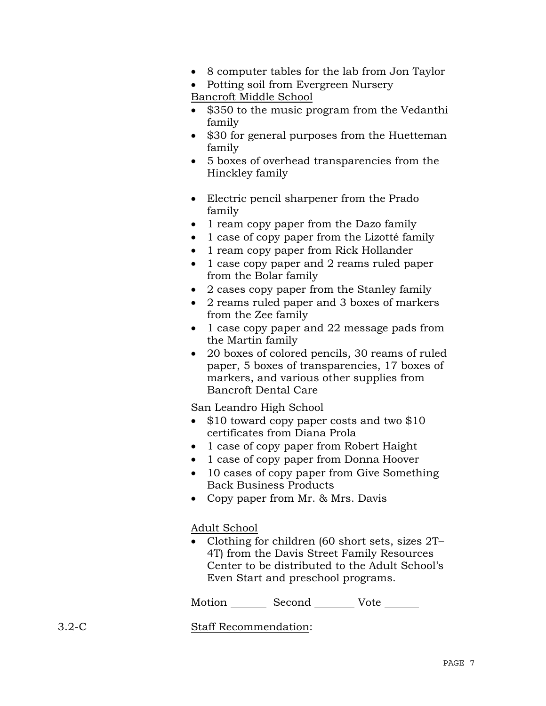• 8 computer tables for the lab from Jon Taylor

• Potting soil from Evergreen Nursery Bancroft Middle School

- \$350 to the music program from the Vedanthi family
- \$30 for general purposes from the Huetteman family
- 5 boxes of overhead transparencies from the Hinckley family
- Electric pencil sharpener from the Prado family
- 1 ream copy paper from the Dazo family
- 1 case of copy paper from the Lizotté family
- 1 ream copy paper from Rick Hollander
- 1 case copy paper and 2 reams ruled paper from the Bolar family
- 2 cases copy paper from the Stanley family
- 2 reams ruled paper and 3 boxes of markers from the Zee family
- 1 case copy paper and 22 message pads from the Martin family
- 20 boxes of colored pencils, 30 reams of ruled paper, 5 boxes of transparencies, 17 boxes of markers, and various other supplies from Bancroft Dental Care

San Leandro High School

- \$10 toward copy paper costs and two \$10 certificates from Diana Prola
- 1 case of copy paper from Robert Haight
- 1 case of copy paper from Donna Hoover
- 10 cases of copy paper from Give Something Back Business Products
- Copy paper from Mr. & Mrs. Davis

Adult School

• Clothing for children (60 short sets, sizes 2T– 4T) from the Davis Street Family Resources Center to be distributed to the Adult School's Even Start and preschool programs.

Motion Second Vote

3.2-C Staff Recommendation: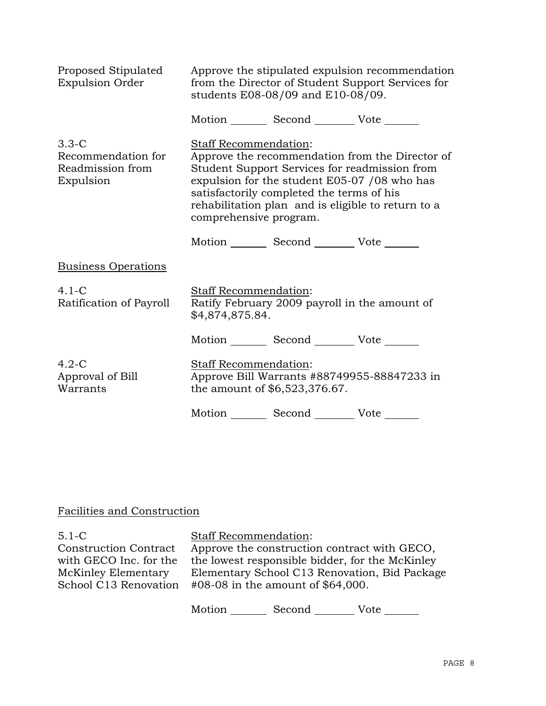| Proposed Stipulated<br><b>Expulsion Order</b>                  | Approve the stipulated expulsion recommendation<br>from the Director of Student Support Services for<br>students E08-08/09 and E10-08/09.                                                                                                                                                              |                                                 |  |
|----------------------------------------------------------------|--------------------------------------------------------------------------------------------------------------------------------------------------------------------------------------------------------------------------------------------------------------------------------------------------------|-------------------------------------------------|--|
|                                                                |                                                                                                                                                                                                                                                                                                        | Motion _________ Second __________ Vote _______ |  |
| $3.3-C$<br>Recommendation for<br>Readmission from<br>Expulsion | Staff Recommendation:<br>Approve the recommendation from the Director of<br>Student Support Services for readmission from<br>expulsion for the student E05-07 /08 who has<br>satisfactorily completed the terms of his<br>rehabilitation plan and is eligible to return to a<br>comprehensive program. |                                                 |  |
|                                                                |                                                                                                                                                                                                                                                                                                        | Motion _________ Second __________ Vote _______ |  |
| <b>Business Operations</b>                                     |                                                                                                                                                                                                                                                                                                        |                                                 |  |
| $4.1 - C$<br>Ratification of Payroll                           | <b>Staff Recommendation:</b><br>\$4,874,875.84.                                                                                                                                                                                                                                                        | Ratify February 2009 payroll in the amount of   |  |
|                                                                |                                                                                                                                                                                                                                                                                                        | Motion _________ Second __________ Vote _______ |  |
| $4.2-C$<br>Approval of Bill<br>Warrants                        | <b>Staff Recommendation:</b><br>Approve Bill Warrants #88749955-88847233 in<br>the amount of \$6,523,376.67.                                                                                                                                                                                           |                                                 |  |
|                                                                |                                                                                                                                                                                                                                                                                                        | Motion _________ Second __________ Vote _______ |  |

# Facilities and Construction

| $5.1 - C$                    | Staff Recommendation:                           |
|------------------------------|-------------------------------------------------|
| <b>Construction Contract</b> | Approve the construction contract with GECO,    |
| with GECO Inc. for the       | the lowest responsible bidder, for the McKinley |
| McKinley Elementary          | Elementary School C13 Renovation, Bid Package   |
| School C13 Renovation        | #08-08 in the amount of \$64,000.               |
|                              |                                                 |

Motion \_\_\_\_\_\_\_\_ Second \_\_\_\_\_\_\_\_\_ Vote \_\_\_\_\_\_\_